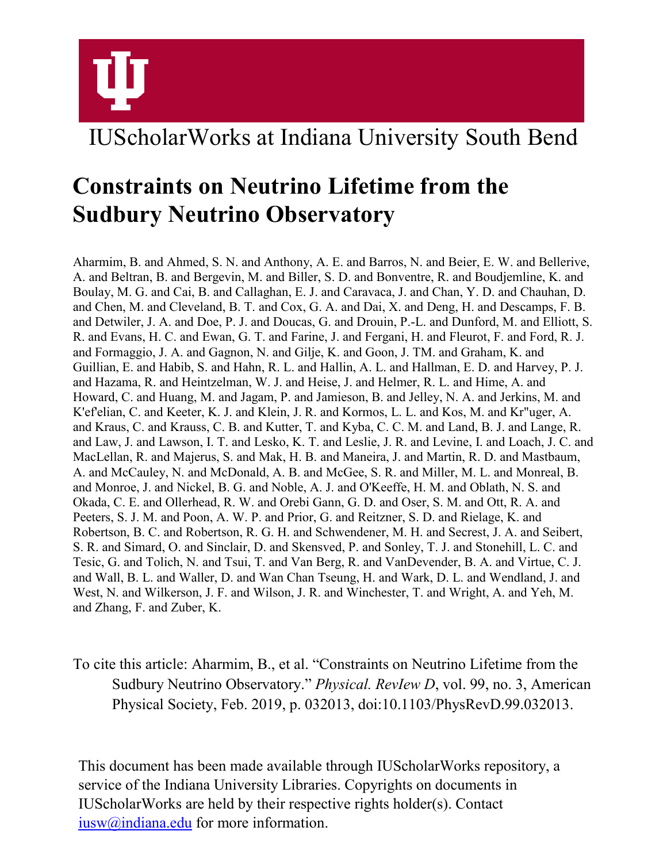

# IUScholarWorks at Indiana University South Bend

# **Constraints on Neutrino Lifetime from the Sudbury Neutrino Observatory**

Aharmim, B. and Ahmed, S. N. and Anthony, A. E. and Barros, N. and Beier, E. W. and Bellerive, A. and Beltran, B. and Bergevin, M. and Biller, S. D. and Bonventre, R. and Boudjemline, K. and Boulay, M. G. and Cai, B. and Callaghan, E. J. and Caravaca, J. and Chan, Y. D. and Chauhan, D. and Chen, M. and Cleveland, B. T. and Cox, G. A. and Dai, X. and Deng, H. and Descamps, F. B. and Detwiler, J. A. and Doe, P. J. and Doucas, G. and Drouin, P.-L. and Dunford, M. and Elliott, S. R. and Evans, H. C. and Ewan, G. T. and Farine, J. and Fergani, H. and Fleurot, F. and Ford, R. J. and Formaggio, J. A. and Gagnon, N. and Gilje, K. and Goon, J. TM. and Graham, K. and Guillian, E. and Habib, S. and Hahn, R. L. and Hallin, A. L. and Hallman, E. D. and Harvey, P. J. and Hazama, R. and Heintzelman, W. J. and Heise, J. and Helmer, R. L. and Hime, A. and Howard, C. and Huang, M. and Jagam, P. and Jamieson, B. and Jelley, N. A. and Jerkins, M. and K'ef'elian, C. and Keeter, K. J. and Klein, J. R. and Kormos, L. L. and Kos, M. and Kr"uger, A. and Kraus, C. and Krauss, C. B. and Kutter, T. and Kyba, C. C. M. and Land, B. J. and Lange, R. and Law, J. and Lawson, I. T. and Lesko, K. T. and Leslie, J. R. and Levine, I. and Loach, J. C. and MacLellan, R. and Majerus, S. and Mak, H. B. and Maneira, J. and Martin, R. D. and Mastbaum, A. and McCauley, N. and McDonald, A. B. and McGee, S. R. and Miller, M. L. and Monreal, B. and Monroe, J. and Nickel, B. G. and Noble, A. J. and O'Keeffe, H. M. and Oblath, N. S. and Okada, C. E. and Ollerhead, R. W. and Orebi Gann, G. D. and Oser, S. M. and Ott, R. A. and Peeters, S. J. M. and Poon, A. W. P. and Prior, G. and Reitzner, S. D. and Rielage, K. and Robertson, B. C. and Robertson, R. G. H. and Schwendener, M. H. and Secrest, J. A. and Seibert, S. R. and Simard, O. and Sinclair, D. and Skensved, P. and Sonley, T. J. and Stonehill, L. C. and Tesic, G. and Tolich, N. and Tsui, T. and Van Berg, R. and VanDevender, B. A. and Virtue, C. J. and Wall, B. L. and Waller, D. and Wan Chan Tseung, H. and Wark, D. L. and Wendland, J. and West, N. and Wilkerson, J. F. and Wilson, J. R. and Winchester, T. and Wright, A. and Yeh, M. and Zhang, F. and Zuber, K.

To cite this article: Aharmim, B., et al. "Constraints on Neutrino Lifetime from the Sudbury Neutrino Observatory." *Physical. RevIew D*, vol. 99, no. 3, American Physical Society, Feb. 2019, p. 032013, doi:10.1103/PhysRevD.99.032013.

This document has been made available through IUScholarWorks repository, a service of the Indiana University Libraries. Copyrights on documents in IUScholarWorks are held by their respective rights holder(s). Contact [iusw@indiana.edu](mailto:iusw@indiana.edu) for more information.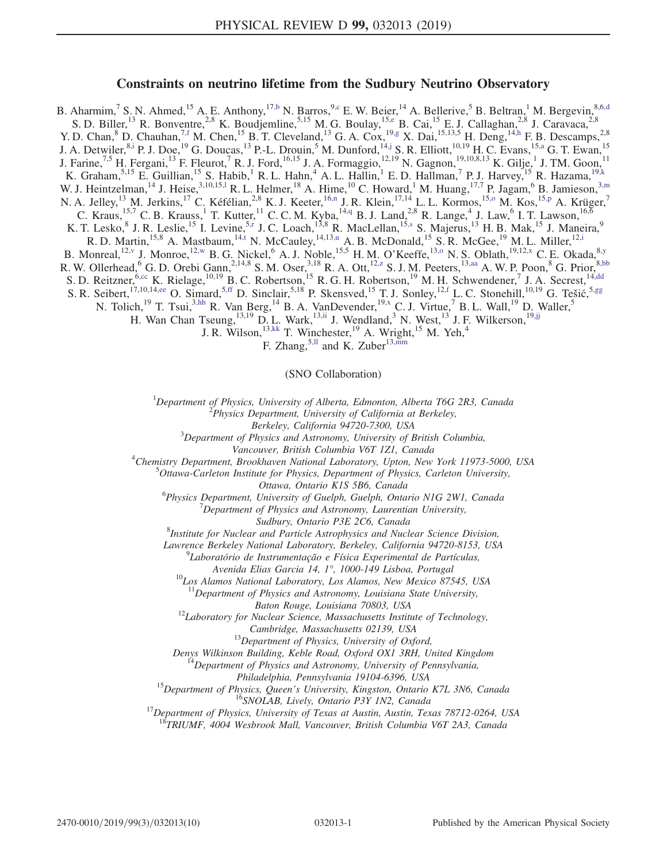# Constraints on neutrino lifetime from the Sudbury Neutrino Observatory

<span id="page-1-13"></span><span id="page-1-11"></span><span id="page-1-10"></span><span id="page-1-9"></span><span id="page-1-8"></span><span id="page-1-7"></span><span id="page-1-6"></span><span id="page-1-5"></span><span id="page-1-4"></span><span id="page-1-2"></span><span id="page-1-1"></span><span id="page-1-0"></span>B. Aharmim,<sup>7</sup> S. N. Ahmed,<sup>15</sup> A. E. Anthony,<sup>1[7,b](#page-2-0)</sup> N. Barros,<sup>[9,c](#page-2-1)</sup> E. W. Beier,<sup>14</sup> A. Bellerive,<sup>5</sup> B. Beltran,<sup>1</sup> M. Bergevin,<sup>8,6[,d](#page-2-2)</sup> S. D. Biller, <sup>13</sup> R. Bonventre, <sup>2,8</sup> K. Boudjemline, <sup>5,15</sup> M. G. Boulay, <sup>1[5,e](#page-2-3)</sup> B. Cai, <sup>15</sup> E. J. Callaghan, <sup>2,8</sup> J. Caravaca, <sup>2,8</sup> Y. D. Chan,  ${}^{8}$  D. Chauhan,  ${}^{7, f}$  M. Chen,  ${}^{15}$  B. T. Cleveland,  ${}^{13}$  G. A. Cox,  ${}^{19, g}$  X. Dai,  ${}^{15, 13, 5}$  H. Deng,  ${}^{14, h}$  F. B. Descamps,  ${}^{2, 8}$ J. A. Detwiler,  $8,1$  P. J. Doe,  $19$  G. Doucas,  $13$  P.-L. Drouin,  $5$  M. Dunford,  $14,1$  S. R. Elliott,  $10,19$  H. C. Evans,  $15, a$  G. T. Ewan,  $15$ J. Farine,<sup>7,5</sup> H. Fergani,<sup>13</sup> F. Fleurot,<sup>7</sup> R. J. Ford,<sup>16,15</sup> J. A. Formaggio,<sup>12,19</sup> N. Gagnon,<sup>19,10,8,13</sup> K. Gilje,<sup>1</sup> J. TM. Goon,<sup>11</sup> K. Graham,  $5,15$  E. Guillian,  $15$  S. Habib, <sup>1</sup> R. L. Hahn, <sup>4</sup> A. L. Hallin, <sup>1</sup> E. D. Hallman, <sup>7</sup> P. J. Harvey,  $15$  R. Hazama,  $19, k$ W. J. Heintzelman,<sup>14</sup> J. Heise,<sup>3,10,15,1</sup> R. L. Helmer,<sup>18</sup> A. Hime,<sup>10</sup> C. Howard,<sup>1</sup> M. Huang,<sup>17,7</sup> P. Jagam,<sup>6</sup> B. Jamieson,<sup>3[,m](#page-2-12)</sup> N. A. Jelley,<sup>13</sup> M. Jerkins,<sup>17</sup> C. Kéfélian,<sup>2,8</sup> K. J. Keeter,<sup>1[6,n](#page-2-13)</sup> J. R. Klein,<sup>17,14</sup> L. L. Kormos,<sup>15,0</sup> M. Kos,<sup>1[5,p](#page-2-15)</sup> A. Krüger,<sup>7</sup> C. Kraus,<sup>15,7</sup> C. B. Krauss,<sup>1</sup> T. Kutter,<sup>11</sup> C. C. M. Kyba,<sup>1[4,q](#page-2-16)</sup> B. J. Land,<sup>2,8</sup> R. Lange,<sup>4</sup> J. Law,<sup>6</sup> I. T. Lawson,<sup>16,6</sup> K. T. Lesko, <sup>8</sup> J. R. Leslie, <sup>15</sup> I. Levine, <sup>[5,r](#page-2-17)</sup> J. C. Loach, <sup>13,8</sup> R. MacLellan, <sup>1[5,s](#page-2-18)</sup> S. Majerus, <sup>13</sup> H. B. Mak, <sup>15</sup> J. Maneira, <sup>9</sup> R. D. Martin, <sup>15,8</sup> A. Mastbaum, <sup>1[4,t](#page-2-19)</sup> N. McCauley, <sup>14,1[3,u](#page-2-20)</sup> A. B. McDonald, <sup>15</sup> S. R. McGee, <sup>19</sup> M. L. Miller, <sup>1[2,i](#page-2-7)</sup> B. Monreal,  $^{12,y}$  $^{12,y}$  $^{12,y}$  J. Monroe,  $^{12,w}$  $^{12,w}$  $^{12,w}$  B. G. Nickel,  $^{6}$  A. J. Noble,  $^{15,5}$  H. M. O'Keeffe,  $^{13,0}$  N. S. Oblath,  $^{19,12,x}$  $^{19,12,x}$  $^{19,12,x}$  C. E. Okada,  $^{8,y}$ R. W. Ollerhead, <sup>6</sup> G. D. Orebi Gann,  $^{2,14,8}$  S. M. Oser,  $^{3,18}$  R. A. Ott,  $^{12,z}$  $^{12,z}$  $^{12,z}$  S. J. M. Peeters,  $^{13,aa}$  $^{13,aa}$  $^{13,aa}$  A. W. P. Poon,  $^8$  G. Prior,  $^{8,bb}$  $^{8,bb}$  $^{8,bb}$ S. D. Reitzner, <sup>6[,cc](#page-2-28)</sup> K. Rielage, <sup>10,19</sup> B. C. Robertson, <sup>15</sup> R. G. H. Robertson, <sup>19</sup> M. H. Schwendener, <sup>7</sup> J. A. Secrest, <sup>14[,dd](#page-2-29)</sup> S. R. Seibert,<sup>17,10,1[4,ee](#page-2-30)</sup> O. Simard,<sup>[5,ff](#page-2-31)</sup> D. Sinclair,<sup>5,18</sup> P. Skensved,<sup>15</sup> T. J. Sonley,<sup>1[2,f](#page-2-4)</sup> L. C. Stonehill,<sup>10,19</sup> G. Tešić,<sup>5[,gg](#page-2-32)</sup> N. Tolich,<sup>19</sup> T. Tsui,<sup>3[,hh](#page-2-33)</sup> R. Van Berg,<sup>14</sup> B. A. VanDevender,<sup>19[,x](#page-2-23)</sup> C. J. Virtue,<sup>7</sup> B. L. Wall,<sup>19</sup> D. Waller,<sup>5</sup> H. Wan Chan Tseung,<sup>13,19</sup> D. L. Wark,<sup>13[,ii](#page-2-34)</sup> J. Wendland,<sup>3</sup> N. West,<sup>13</sup> J. F. Wilkerson,<sup>1[9,jj](#page-2-35)</sup> J. R. Wilson,  $^{13,kk}$  $^{13,kk}$  $^{13,kk}$  T. Winchester,  $^{19}$  A. Wright,  $^{15}$  M. Yeh,  $^{4}$ 

F. Zhang,  $5,11$  and K. Zuber $13,$ mm

(SNO Collaboration)

<span id="page-1-17"></span><span id="page-1-16"></span><span id="page-1-15"></span><span id="page-1-14"></span><span id="page-1-12"></span><span id="page-1-3"></span><sup>1</sup>Department of Physics, University of Alberta, Edmonton, Alberta T6G 2R3, Canada

 $P<sup>2</sup>$ Physics Department, University of California at Berkeley,

Berkeley, California 94720-7300, USA <sup>3</sup>

 $3$ Department of Physics and Astronomy, University of British Columbia,

Vancouver, British Columbia V6T 1Z1, Canada <sup>4</sup>

<sup>4</sup>Chemistry Department, Brookhaven National Laboratory, Upton, New York 11973-5000, USA

 ${}^{5}$ Ottawa-Carleton Institute for Physics, Department of Physics, Carleton University,

Ottawa, Ontario K1S 5B6, Canada<br><sup>6</sup> Physics Department, University of Cuelph Cuelph Onta

Physics Department, University of Guelph, Guelph, Ontario N1G 2W1, Canada  $\frac{7}{2}$  Department of Blurias and Astronomy Laurentian University

 $\nabla^7$ Department of Physics and Astronomy, Laurentian University,

Sudbury, Ontario P3E 2C6, Canada<br><sup>8</sup>Institute for Nuclear and Particle Astrophysics and Nuclear Science Division,

Lawrence Berkeley National Laboratory, Berkeley, California 94720-8153, USA <sup>9</sup>

 $^{9}$ Laboratório de Instrumentação e Física Experimental de Partículas,

Avenida Elias Garcia 14, 1°, 1000-149 Lisboa, Portugal<br><sup>10</sup>Los Alamos National Laboratory, Los Alamos, New Mexico 87545, USA

 $11$ Department of Physics and Astronomy, Louisiana State University,

Baton Rouge, Louisiana 70803, USA<br><sup>12</sup>Laboratory for Nuclear Science, Massachusetts Institute of Technology,

Cambridge, Massachusetts 02139, USA<br><sup>13</sup>Department of Physics, University of Oxford,

Denys Wilkinson Building, Keble Road, Oxford OX1 3RH, United Kingdom <sup>14</sup>Department of Physics and Astronomy, University of Pennsylvania,

Philadelphia, Pennsylvania 19104-6396, USA<br><sup>15</sup>Department of Physics, Queen's University, Kingston, Ontario K7L 3N6, Canada<br><sup>16</sup>SNOLAB, Lively, Ontario P3Y 1N2, Canada<sup>17</sup>Department of Physics, University of Texas at Austi

 $\overline{R}$ TRIUMF, 4004 Wesbrook Mall, Vancouver, British Columbia V6T 2A3, Canada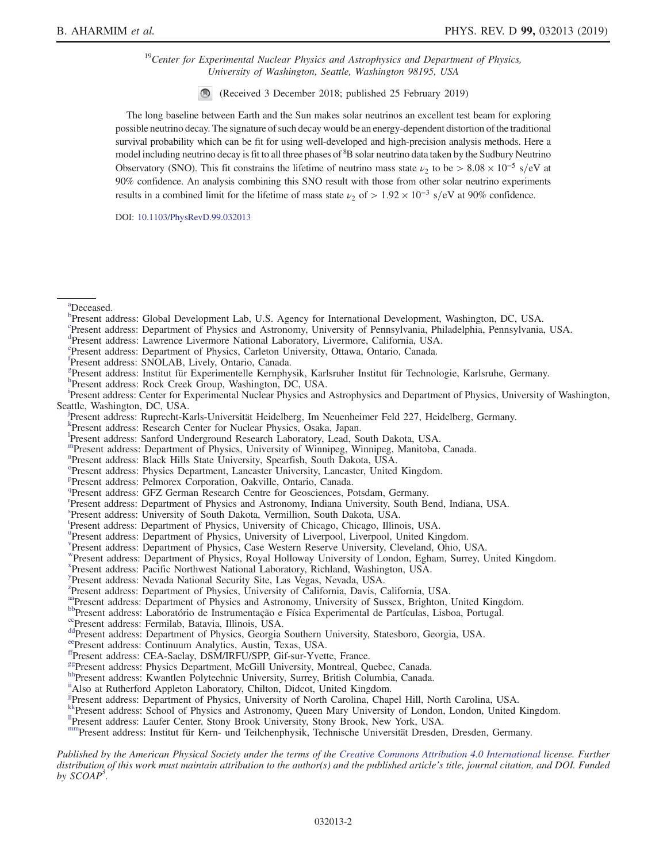$19$ Center for Experimental Nuclear Physics and Astrophysics and Department of Physics, University of Washington, Seattle, Washington 98195, USA

(Received 3 December 2018; published 25 February 2019)

The long baseline between Earth and the Sun makes solar neutrinos an excellent test beam for exploring possible neutrino decay. The signature of such decay would be an energy-dependent distortion of the traditional survival probability which can be fit for using well-developed and high-precision analysis methods. Here a model including neutrino decay is fit to all three phases of <sup>8</sup>B solar neutrino data taken by the Sudbury Neutrino Observatory (SNO). This fit constrains the lifetime of neutrino mass state  $\nu_2$  to be > 8.08 × 10<sup>-5</sup> s/eV at 90% confidence. An analysis combining this SNO result with those from other solar neutrino experiments results in a combined limit for the lifetime of mass state  $\nu_2$  of > 1.92 × 10<sup>-3</sup> s/eV at 90% confidence.

DOI: [10.1103/PhysRevD.99.032013](https://doi.org/10.1103/PhysRevD.99.032013)

<span id="page-2-9"></span><sup>[a](#page-1-0)</sup>Deceased.

- <span id="page-2-1"></span>[c](#page-1-1) Present address: Department of Physics and Astronomy, University of Pennsylvania, Philadelphia, Pennsylvania, USA.
- <span id="page-2-3"></span><span id="page-2-2"></span>[d](#page-1-1) Present address: Lawrence Livermore National Laboratory, Livermore, California, USA.
- Pr[e](#page-1-2)sent address: Department of Physics, Carleton University, Ottawa, Ontario, Canada.
- <span id="page-2-4"></span>[f](#page-1-3) Present address: SNOLAB, Lively, Ontario, Canada.
- <span id="page-2-5"></span>[g](#page-1-4) Present address: Institut für Experimentelle Kernphysik, Karlsruher Institut für Technologie, Karlsruhe, Germany.

<span id="page-2-6"></span><sup>[h](#page-1-4)</sup>Present address: Rock Creek Group, Washington, DC, USA.

<span id="page-2-7"></span>Present address: Center for Exper[i](#page-1-5)mental Nuclear Physics and Astrophysics and Department of Physics, University of Washington, Seattle, Washington, DC, USA.

<span id="page-2-8"></span>Present address: Ruprecht-Karls-Universität Heidelberg, Im Neuenheimer Feld 227, Heidelberg, Germany.

- <span id="page-2-10"></span><sup>[k](#page-1-6)</sup>Present address: Research Center for Nuclear Physics, Osaka, Japan.
- <span id="page-2-11"></span>[l](#page-1-7) Present address: Sanford Underground Research Laboratory, Lead, South Dakota, USA.
- <span id="page-2-12"></span>[m](#page-1-7)Present address: Department of Physics, University of Winnipeg, Winnipeg, Manitoba, Canada.
- <span id="page-2-13"></span>[n](#page-1-8) Present address: Black Hills State University, Spearfish, South Dakota, USA.
- <span id="page-2-14"></span><sup>[o](#page-1-9)</sup>Present address: Physics Department, Lancaster University, Lancaster, United Kingdom.
- <span id="page-2-15"></span>[p](#page-1-8) Present address: Pelmorex Corporation, Oakville, Ontario, Canada.
- <span id="page-2-16"></span><sup>[q](#page-1-10)</sup>Present address: GFZ German Research Centre for Geosciences, Potsdam, Germany.
- <span id="page-2-17"></span><sup>[r](#page-1-11)</sup>Present address: Department of Physics and Astronomy, Indiana University, South Bend, Indiana, USA.
- <span id="page-2-18"></span>[s](#page-1-11) Present address: University of South Dakota, Vermillion, South Dakota, USA.
- <span id="page-2-19"></span>[t](#page-1-5) Present address: Department of Physics, University of Chicago, Chicago, Illinois, USA.
- <span id="page-2-20"></span><s[u](#page-1-5)p>u</sup>Present address: Department of Physics, University of Liverpool, Liverpool, United Kingdom.
- <span id="page-2-21"></span>[v](#page-1-9) Present address: Department of Physics, Case Western Reserve University, Cleveland, Ohio, USA.
- <span id="page-2-22"></span>[w](#page-1-9)Present address: Department of Physics, Royal Holloway University of London, Egham, Surrey, United Kingdom.
- <span id="page-2-23"></span>[x](#page-1-12) Present address: Pacific Northwest National Laboratory, Richland, Washington, USA.
- <span id="page-2-24"></span>[y](#page-1-9) Present address: Nevada National Security Site, Las Vegas, Nevada, USA.
- <span id="page-2-25"></span><sup>[z](#page-1-13)</sup>Present address: Department of Physics, University of California, Davis, California, USA.
- <span id="page-2-27"></span><span id="page-2-26"></span><sup>[aa](#page-1-13)</sup>Present address: Department of Physics and Astronomy, University of Sussex, Brighton, United Kingdom.<br><sup>bb</sup>Present address: Laboratório de Instrumentação e Física Experimental de Partículas, Lisboa, Portugal.<br><sup>[cc](#page-1-14)</sup>Presen
- 
- <span id="page-2-29"></span><span id="page-2-28"></span>
- 
- <span id="page-2-31"></span><span id="page-2-30"></span>
- <span id="page-2-32"></span>
- 
- <span id="page-2-34"></span><span id="page-2-33"></span>hh Present address: Kwantlen Polytechnic University, Surrey, British Columbia, Canada.<br>"Also at Rutherford Appleton Laboratory, Chilton, Didcot, United Kingdom.
- 
- <span id="page-2-35"></span>[jjP](#page-1-15)resent address: Department of Physics, University of North Carolina, Chapel Hill, North Carolina, USA.
- <span id="page-2-37"></span><span id="page-2-36"></span>[kkP](#page-1-16)resent address: School of Physics and Astronomy, Queen Mary University of London, London, United Kingdom.<br><sup>II</sup>Present address: Laufer Center, Stony Brook University, Stony Brook, New York, USA.
- 

<span id="page-2-38"></span>[mm](#page-1-17)Present address: Institut für Kern- und Teilchenphysik, Technische Universität Dresden, Dresden, Germany.

Published by the American Physical Society under the terms of the [Creative Commons Attribution 4.0 International](https://creativecommons.org/licenses/by/4.0/) license. Further distribution of this work must maintain attribution to the author(s) and the published article's title, journal citation, and DOI. Funded by  $SCOAP<sup>3</sup>$ .

<span id="page-2-0"></span><sup>&</sup>lt;sup>[b](#page-1-1)</sup>Present address: Global Development Lab, U.S. Agency for International Development, Washington, DC, USA.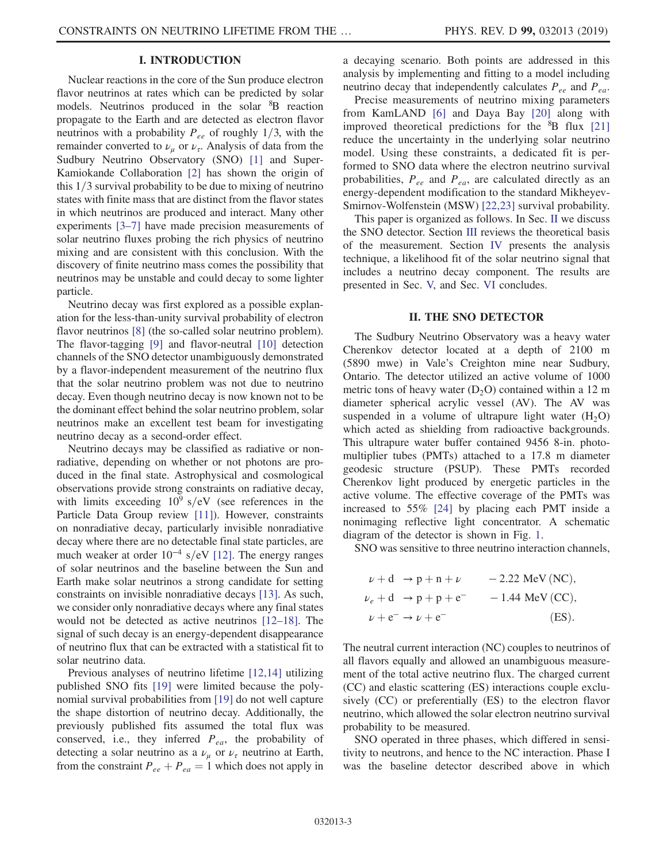# I. INTRODUCTION

Nuclear reactions in the core of the Sun produce electron flavor neutrinos at rates which can be predicted by solar models. Neutrinos produced in the solar <sup>8</sup>B reaction propagate to the Earth and are detected as electron flavor neutrinos with a probability  $P_{ee}$  of roughly 1/3, with the remainder converted to  $\nu_{\mu}$  or  $\nu_{\tau}$ . Analysis of data from the Sudbury Neutrino Observatory (SNO) [\[1\]](#page-10-0) and Super-Kamiokande Collaboration [\[2\]](#page-10-1) has shown the origin of this  $1/3$  survival probability to be due to mixing of neutrino states with finite mass that are distinct from the flavor states in which neutrinos are produced and interact. Many other experiments [3–[7\]](#page-10-2) have made precision measurements of solar neutrino fluxes probing the rich physics of neutrino mixing and are consistent with this conclusion. With the discovery of finite neutrino mass comes the possibility that neutrinos may be unstable and could decay to some lighter particle.

Neutrino decay was first explored as a possible explanation for the less-than-unity survival probability of electron flavor neutrinos [\[8\]](#page-10-3) (the so-called solar neutrino problem). The flavor-tagging [\[9\]](#page-10-4) and flavor-neutral [\[10\]](#page-10-5) detection channels of the SNO detector unambiguously demonstrated by a flavor-independent measurement of the neutrino flux that the solar neutrino problem was not due to neutrino decay. Even though neutrino decay is now known not to be the dominant effect behind the solar neutrino problem, solar neutrinos make an excellent test beam for investigating neutrino decay as a second-order effect.

Neutrino decays may be classified as radiative or nonradiative, depending on whether or not photons are produced in the final state. Astrophysical and cosmological observations provide strong constraints on radiative decay, with limits exceeding  $10^9$  s/eV (see references in the Particle Data Group review [\[11\]\)](#page-10-6). However, constraints on nonradiative decay, particularly invisible nonradiative decay where there are no detectable final state particles, are much weaker at order  $10^{-4}$  s/eV [\[12\].](#page-10-7) The energy ranges of solar neutrinos and the baseline between the Sun and Earth make solar neutrinos a strong candidate for setting constraints on invisible nonradiative decays [\[13\].](#page-10-8) As such, we consider only nonradiative decays where any final states would not be detected as active neutrinos [\[12](#page-10-7)–18]. The signal of such decay is an energy-dependent disappearance of neutrino flux that can be extracted with a statistical fit to solar neutrino data.

Previous analyses of neutrino lifetime [\[12,14\]](#page-10-7) utilizing published SNO fits [\[19\]](#page-10-9) were limited because the polynomial survival probabilities from [\[19\]](#page-10-9) do not well capture the shape distortion of neutrino decay. Additionally, the previously published fits assumed the total flux was conserved, i.e., they inferred  $P_{ea}$ , the probability of detecting a solar neutrino as a  $\nu_{\mu}$  or  $\nu_{\tau}$  neutrino at Earth, from the constraint  $P_{ee} + P_{ea} = 1$  which does not apply in a decaying scenario. Both points are addressed in this analysis by implementing and fitting to a model including neutrino decay that independently calculates  $P_{ee}$  and  $P_{ea}$ .

Precise measurements of neutrino mixing parameters from KamLAND [\[6\]](#page-10-10) and Daya Bay [\[20\]](#page-10-11) along with improved theoretical predictions for the  ${}^{8}B$  flux [\[21\]](#page-10-12) reduce the uncertainty in the underlying solar neutrino model. Using these constraints, a dedicated fit is performed to SNO data where the electron neutrino survival probabilities,  $P_{ee}$  and  $P_{ea}$ , are calculated directly as an energy-dependent modification to the standard Mikheyev-Smirnov-Wolfenstein (MSW) [\[22,23\]](#page-10-13) survival probability.

This paper is organized as follows. In Sec. [II](#page-3-0) we discuss the SNO detector. Section [III](#page-4-0) reviews the theoretical basis of the measurement. Section [IV](#page-5-0) presents the analysis technique, a likelihood fit of the solar neutrino signal that includes a neutrino decay component. The results are presented in Sec. [V,](#page-8-0) and Sec. [VI](#page-9-0) concludes.

## II. THE SNO DETECTOR

<span id="page-3-0"></span>The Sudbury Neutrino Observatory was a heavy water Cherenkov detector located at a depth of 2100 m (5890 mwe) in Vale's Creighton mine near Sudbury, Ontario. The detector utilized an active volume of 1000 metric tons of heavy water  $(D_2O)$  contained within a 12 m diameter spherical acrylic vessel (AV). The AV was suspended in a volume of ultrapure light water  $(H<sub>2</sub>O)$ which acted as shielding from radioactive backgrounds. This ultrapure water buffer contained 9456 8-in. photomultiplier tubes (PMTs) attached to a 17.8 m diameter geodesic structure (PSUP). These PMTs recorded Cherenkov light produced by energetic particles in the active volume. The effective coverage of the PMTs was increased to 55% [\[24\]](#page-10-14) by placing each PMT inside a nonimaging reflective light concentrator. A schematic diagram of the detector is shown in Fig. [1.](#page-4-1)

SNO was sensitive to three neutrino interaction channels,

$$
\nu + d \rightarrow p + n + \nu \qquad -2.22 \text{ MeV (NC)},
$$
  
\n
$$
\nu_e + d \rightarrow p + p + e^- \qquad -1.44 \text{ MeV (CC)},
$$
  
\n
$$
\nu + e^- \rightarrow \nu + e^- \qquad (ES).
$$

The neutral current interaction (NC) couples to neutrinos of all flavors equally and allowed an unambiguous measurement of the total active neutrino flux. The charged current (CC) and elastic scattering (ES) interactions couple exclusively (CC) or preferentially (ES) to the electron flavor neutrino, which allowed the solar electron neutrino survival probability to be measured.

SNO operated in three phases, which differed in sensitivity to neutrons, and hence to the NC interaction. Phase I was the baseline detector described above in which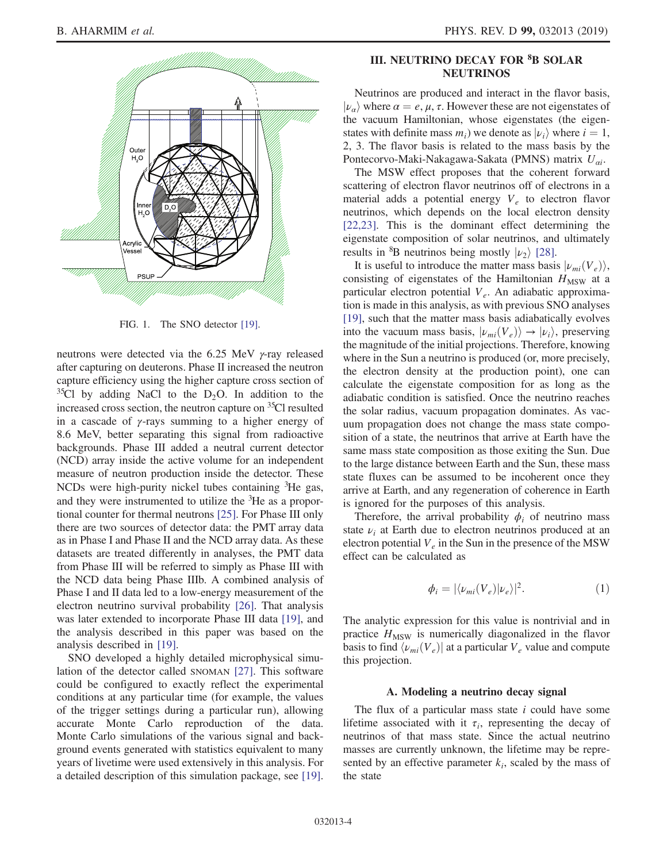<span id="page-4-1"></span>

FIG. 1. The SNO detector [\[19\].](#page-10-9)

neutrons were detected via the 6.25 MeV γ-ray released after capturing on deuterons. Phase II increased the neutron capture efficiency using the higher capture cross section of  $35^{\circ}$ Cl by adding NaCl to the D<sub>2</sub>O. In addition to the increased cross section, the neutron capture on <sup>35</sup>Cl resulted in a cascade of  $\gamma$ -rays summing to a higher energy of 8.6 MeV, better separating this signal from radioactive backgrounds. Phase III added a neutral current detector (NCD) array inside the active volume for an independent measure of neutron production inside the detector. These NCDs were high-purity nickel tubes containing <sup>3</sup>He gas, and they were instrumented to utilize the <sup>3</sup>He as a proportional counter for thermal neutrons [\[25\].](#page-10-15) For Phase III only there are two sources of detector data: the PMT array data as in Phase I and Phase II and the NCD array data. As these datasets are treated differently in analyses, the PMT data from Phase III will be referred to simply as Phase III with the NCD data being Phase IIIb. A combined analysis of Phase I and II data led to a low-energy measurement of the electron neutrino survival probability [\[26\]](#page-10-16). That analysis was later extended to incorporate Phase III data [\[19\],](#page-10-9) and the analysis described in this paper was based on the analysis described in [\[19\].](#page-10-9)

SNO developed a highly detailed microphysical simulation of the detector called SNOMAN [\[27\]](#page-10-17). This software could be configured to exactly reflect the experimental conditions at any particular time (for example, the values of the trigger settings during a particular run), allowing accurate Monte Carlo reproduction of the data. Monte Carlo simulations of the various signal and background events generated with statistics equivalent to many years of livetime were used extensively in this analysis. For a detailed description of this simulation package, see [\[19\]](#page-10-9).

# <span id="page-4-0"></span>III. NEUTRINO DECAY FOR <sup>8</sup>B SOLAR NEUTRINOS

Neutrinos are produced and interact in the flavor basis,  $|\nu_{\alpha}\rangle$  where  $\alpha = e, \mu, \tau$ . However these are not eigenstates of the vacuum Hamiltonian, whose eigenstates (the eigenstates with definite mass  $m_i$ ) we denote as  $|\nu_i\rangle$  where  $i = 1$ , 2, 3. The flavor basis is related to the mass basis by the Pontecorvo-Maki-Nakagawa-Sakata (PMNS) matrix  $U_{ai}$ .

The MSW effect proposes that the coherent forward scattering of electron flavor neutrinos off of electrons in a material adds a potential energy  $V_e$  to electron flavor neutrinos, which depends on the local electron density [\[22,23\]](#page-10-13). This is the dominant effect determining the eigenstate composition of solar neutrinos, and ultimately results in <sup>8</sup>B neutrinos being mostly  $|\nu_2\rangle$  [\[28\]](#page-10-18).

It is useful to introduce the matter mass basis  $|\nu_{mi}(V_e)\rangle$ , consisting of eigenstates of the Hamiltonian  $H_{\text{MSW}}$  at a particular electron potential  $V_e$ . An adiabatic approximation is made in this analysis, as with previous SNO analyses [\[19\]](#page-10-9), such that the matter mass basis adiabatically evolves into the vacuum mass basis,  $|\nu_{mi}(V_e)\rangle \rightarrow |\nu_i\rangle$ , preserving the magnitude of the initial projections. Therefore, knowing where in the Sun a neutrino is produced (or, more precisely, the electron density at the production point), one can calculate the eigenstate composition for as long as the adiabatic condition is satisfied. Once the neutrino reaches the solar radius, vacuum propagation dominates. As vacuum propagation does not change the mass state composition of a state, the neutrinos that arrive at Earth have the same mass state composition as those exiting the Sun. Due to the large distance between Earth and the Sun, these mass state fluxes can be assumed to be incoherent once they arrive at Earth, and any regeneration of coherence in Earth is ignored for the purposes of this analysis.

Therefore, the arrival probability  $\phi_i$  of neutrino mass state  $\nu_i$  at Earth due to electron neutrinos produced at an electron potential  $V_e$  in the Sun in the presence of the MSW effect can be calculated as

$$
\phi_i = |\langle \nu_{mi}(V_e) | \nu_e \rangle|^2. \tag{1}
$$

The analytic expression for this value is nontrivial and in practice  $H_{\text{MSW}}$  is numerically diagonalized in the flavor basis to find  $\langle \nu_{mi}(V_e) \rangle$  at a particular  $V_e$  value and compute this projection.

#### A. Modeling a neutrino decay signal

The flux of a particular mass state  $i$  could have some lifetime associated with it  $\tau_i$ , representing the decay of neutrinos of that mass state. Since the actual neutrino masses are currently unknown, the lifetime may be represented by an effective parameter  $k_i$ , scaled by the mass of the state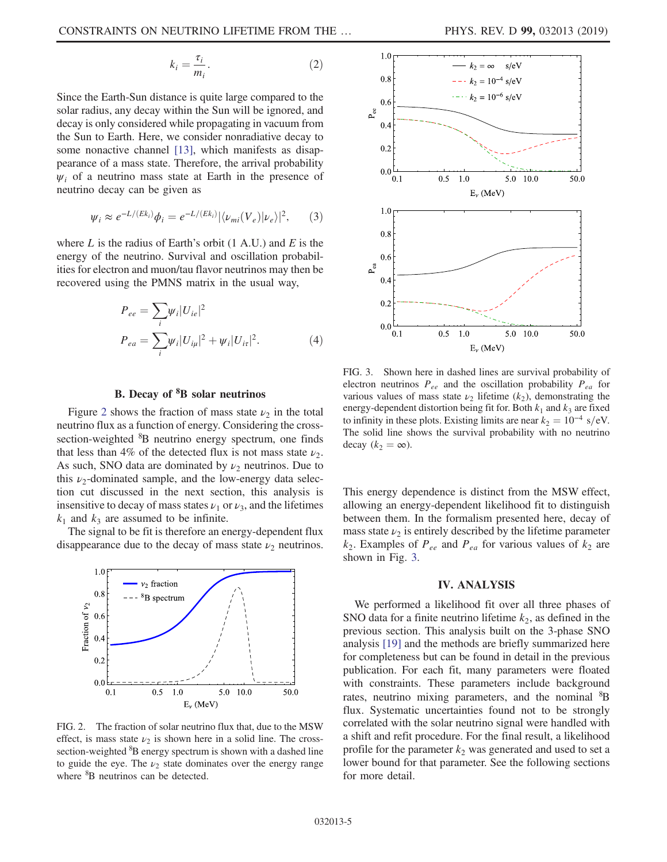$$
k_i = \frac{\tau_i}{m_i}.\tag{2}
$$

Since the Earth-Sun distance is quite large compared to the solar radius, any decay within the Sun will be ignored, and decay is only considered while propagating in vacuum from the Sun to Earth. Here, we consider nonradiative decay to some nonactive channel [\[13\]](#page-10-8), which manifests as disappearance of a mass state. Therefore, the arrival probability  $\psi_i$  of a neutrino mass state at Earth in the presence of neutrino decay can be given as

$$
\psi_i \approx e^{-L/(Ek_i)}\phi_i = e^{-L/(Ek_i)}|\langle \nu_{mi}(V_e)|\nu_e\rangle|^2, \qquad (3)
$$

where  $L$  is the radius of Earth's orbit (1 A.U.) and  $E$  is the energy of the neutrino. Survival and oscillation probabilities for electron and muon/tau flavor neutrinos may then be recovered using the PMNS matrix in the usual way,

$$
P_{ee} = \sum_{i} \psi_i |U_{ie}|^2
$$
  
\n
$$
P_{ea} = \sum_{i} \psi_i |U_{i\mu}|^2 + \psi_i |U_{i\tau}|^2.
$$
 (4)

# B. Decay of <sup>8</sup>B solar neutrinos

Figure [2](#page-5-1) shows the fraction of mass state  $\nu_2$  in the total neutrino flux as a function of energy. Considering the crosssection-weighted <sup>8</sup>B neutrino energy spectrum, one finds that less than 4% of the detected flux is not mass state  $\nu_2$ . As such, SNO data are dominated by  $\nu_2$  neutrinos. Due to this  $\nu_2$ -dominated sample, and the low-energy data selection cut discussed in the next section, this analysis is insensitive to decay of mass states  $\nu_1$  or  $\nu_3$ , and the lifetimes  $k_1$  and  $k_3$  are assumed to be infinite.

The signal to be fit is therefore an energy-dependent flux disappearance due to the decay of mass state  $\nu_2$  neutrinos.

<span id="page-5-1"></span>

FIG. 2. The fraction of solar neutrino flux that, due to the MSW effect, is mass state  $\nu_2$  is shown here in a solid line. The crosssection-weighted <sup>8</sup>B energy spectrum is shown with a dashed line to guide the eye. The  $\nu_2$  state dominates over the energy range where <sup>8</sup>B neutrinos can be detected.

<span id="page-5-2"></span>

FIG. 3. Shown here in dashed lines are survival probability of electron neutrinos  $P_{ee}$  and the oscillation probability  $P_{ea}$  for various values of mass state  $\nu_2$  lifetime ( $k_2$ ), demonstrating the energy-dependent distortion being fit for. Both  $k_1$  and  $k_3$  are fixed to infinity in these plots. Existing limits are near  $k_2 = 10^{-4}$  s/eV. The solid line shows the survival probability with no neutrino decay  $(k_2 = \infty)$ .

This energy dependence is distinct from the MSW effect, allowing an energy-dependent likelihood fit to distinguish between them. In the formalism presented here, decay of mass state  $\nu_2$  is entirely described by the lifetime parameter  $k_2$ . Examples of  $P_{ee}$  and  $P_{ea}$  for various values of  $k_2$  are shown in Fig. [3.](#page-5-2)

## IV. ANALYSIS

<span id="page-5-0"></span>We performed a likelihood fit over all three phases of SNO data for a finite neutrino lifetime  $k_2$ , as defined in the previous section. This analysis built on the 3-phase SNO analysis [\[19\]](#page-10-9) and the methods are briefly summarized here for completeness but can be found in detail in the previous publication. For each fit, many parameters were floated with constraints. These parameters include background rates, neutrino mixing parameters, and the nominal <sup>8</sup>B flux. Systematic uncertainties found not to be strongly correlated with the solar neutrino signal were handled with a shift and refit procedure. For the final result, a likelihood profile for the parameter  $k_2$  was generated and used to set a lower bound for that parameter. See the following sections for more detail.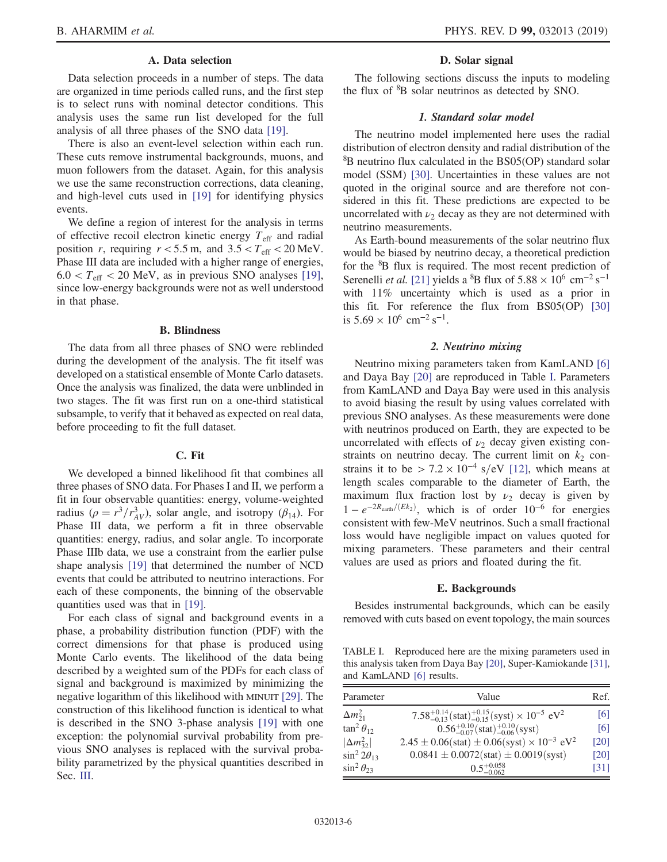## A. Data selection

Data selection proceeds in a number of steps. The data are organized in time periods called runs, and the first step is to select runs with nominal detector conditions. This analysis uses the same run list developed for the full analysis of all three phases of the SNO data [\[19\]](#page-10-9).

There is also an event-level selection within each run. These cuts remove instrumental backgrounds, muons, and muon followers from the dataset. Again, for this analysis we use the same reconstruction corrections, data cleaning, and high-level cuts used in [\[19\]](#page-10-9) for identifying physics events.

We define a region of interest for the analysis in terms of effective recoil electron kinetic energy  $T_{\text{eff}}$  and radial position r, requiring  $r < 5.5$  m, and  $3.5 < T_{\text{eff}} < 20$  MeV. Phase III data are included with a higher range of energies,  $6.0 < T<sub>eff</sub> < 20$  MeV, as in previous SNO analyses [\[19\]](#page-10-9), since low-energy backgrounds were not as well understood in that phase.

#### B. Blindness

The data from all three phases of SNO were reblinded during the development of the analysis. The fit itself was developed on a statistical ensemble of Monte Carlo datasets. Once the analysis was finalized, the data were unblinded in two stages. The fit was first run on a one-third statistical subsample, to verify that it behaved as expected on real data, before proceeding to fit the full dataset.

#### C. Fit

We developed a binned likelihood fit that combines all three phases of SNO data. For Phases I and II, we perform a fit in four observable quantities: energy, volume-weighted radius ( $\rho = r^3/r_{AV}^3$ ), solar angle, and isotropy ( $\beta_{14}$ ). For Phase III data, we perform a fit in three observable quantities: energy, radius, and solar angle. To incorporate Phase IIIb data, we use a constraint from the earlier pulse shape analysis [\[19\]](#page-10-9) that determined the number of NCD events that could be attributed to neutrino interactions. For each of these components, the binning of the observable quantities used was that in [\[19\].](#page-10-9)

For each class of signal and background events in a phase, a probability distribution function (PDF) with the correct dimensions for that phase is produced using Monte Carlo events. The likelihood of the data being described by a weighted sum of the PDFs for each class of signal and background is maximized by minimizing the negative logarithm of this likelihood with MINUIT [\[29\].](#page-10-19) The construction of this likelihood function is identical to what is described in the SNO 3-phase analysis [\[19\]](#page-10-9) with one exception: the polynomial survival probability from previous SNO analyses is replaced with the survival probability parametrized by the physical quantities described in Sec. [III](#page-4-0).

#### D. Solar signal

The following sections discuss the inputs to modeling the flux of <sup>8</sup>B solar neutrinos as detected by SNO.

#### 1. Standard solar model

The neutrino model implemented here uses the radial distribution of electron density and radial distribution of the 8 B neutrino flux calculated in the BS05(OP) standard solar model (SSM) [\[30\].](#page-10-20) Uncertainties in these values are not quoted in the original source and are therefore not considered in this fit. These predictions are expected to be uncorrelated with  $\nu_2$  decay as they are not determined with neutrino measurements.

As Earth-bound measurements of the solar neutrino flux would be biased by neutrino decay, a theoretical prediction for the <sup>8</sup>B flux is required. The most recent prediction of Serenelli *et al.* [\[21\]](#page-10-12) yields a <sup>8</sup>B flux of  $5.88 \times 10^6$  cm<sup>-2</sup> s<sup>-1</sup> with 11% uncertainty which is used as a prior in this fit. For reference the flux from BS05(OP) [\[30\]](#page-10-20) is  $5.69 \times 10^6$  cm<sup>-2</sup> s<sup>-1</sup>.

#### 2. Neutrino mixing

<span id="page-6-1"></span>Neutrino mixing parameters taken from KamLAND [\[6\]](#page-10-10) and Daya Bay [\[20\]](#page-10-11) are reproduced in Table [I](#page-6-0). Parameters from KamLAND and Daya Bay were used in this analysis to avoid biasing the result by using values correlated with previous SNO analyses. As these measurements were done with neutrinos produced on Earth, they are expected to be uncorrelated with effects of  $\nu_2$  decay given existing constraints on neutrino decay. The current limit on  $k_2$  constrains it to be >  $7.2 \times 10^{-4}$  s/eV [\[12\],](#page-10-7) which means at length scales comparable to the diameter of Earth, the maximum flux fraction lost by  $\nu_2$  decay is given by  $1 - e^{-2R_{\text{earth}}/(Ek_2)}$ , which is of order  $10^{-6}$  for energies consistent with few-MeV neutrinos. Such a small fractional loss would have negligible impact on values quoted for mixing parameters. These parameters and their central values are used as priors and floated during the fit.

#### E. Backgrounds

Besides instrumental backgrounds, which can be easily removed with cuts based on event topology, the main sources

<span id="page-6-0"></span>TABLE I. Reproduced here are the mixing parameters used in this analysis taken from Daya Bay [\[20\],](#page-10-11) Super-Kamiokande [\[31\],](#page-10-21) and KamLAND [\[6\]](#page-10-10) results.

| Parameter             | Value                                                                                             | Ref. |
|-----------------------|---------------------------------------------------------------------------------------------------|------|
| $\Delta m_{21}^2$     | $7.58^{+0.14}_{-0.13}$ (stat) $^{+0.15}_{-0.15}$ (syst) $\times$ 10 <sup>-5</sup> eV <sup>2</sup> | [6]  |
| $\tan^2 \theta_{12}$  | $0.56^{+0.10}_{-0.07}$ (stat) <sup>+0.10</sup> <sub>0.06</sub> (syst)                             | [6]  |
| $ \Delta m_{32}^2 $   | $2.45 \pm 0.06$ (stat) $\pm 0.06$ (syst) $\times 10^{-3}$ eV <sup>2</sup>                         | [20] |
| $\sin^2 2\theta_{13}$ | $0.0841 \pm 0.0072$ (stat) $\pm 0.0019$ (syst)                                                    | [20] |
| $\sin^2 \theta_{23}$  | $0.5_{-0.062}^{+0.058}$                                                                           | [31] |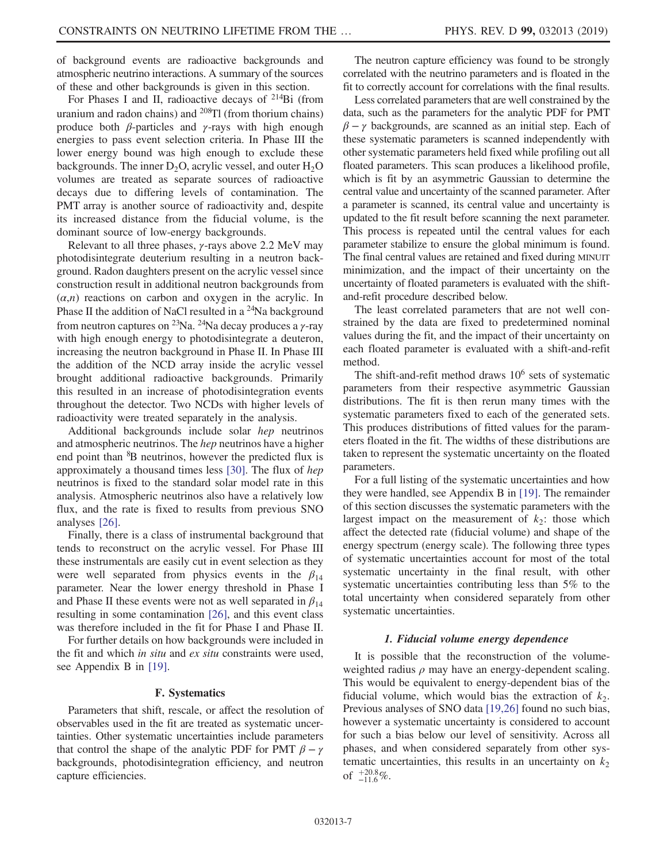of background events are radioactive backgrounds and atmospheric neutrino interactions. A summary of the sources of these and other backgrounds is given in this section.

For Phases I and II, radioactive decays of <sup>214</sup>Bi (from uranium and radon chains) and  $^{208}$ Tl (from thorium chains) produce both  $\beta$ -particles and  $\gamma$ -rays with high enough energies to pass event selection criteria. In Phase III the lower energy bound was high enough to exclude these backgrounds. The inner  $D_2O$ , acrylic vessel, and outer  $H_2O$ volumes are treated as separate sources of radioactive decays due to differing levels of contamination. The PMT array is another source of radioactivity and, despite its increased distance from the fiducial volume, is the dominant source of low-energy backgrounds.

Relevant to all three phases, γ-rays above 2.2 MeV may photodisintegrate deuterium resulting in a neutron background. Radon daughters present on the acrylic vessel since construction result in additional neutron backgrounds from  $(\alpha, n)$  reactions on carbon and oxygen in the acrylic. In Phase II the addition of NaCl resulted in a  $^{24}$ Na background from neutron captures on <sup>23</sup>Na. <sup>24</sup>Na decay produces a *γ*-ray with high enough energy to photodisintegrate a deuteron, increasing the neutron background in Phase II. In Phase III the addition of the NCD array inside the acrylic vessel brought additional radioactive backgrounds. Primarily this resulted in an increase of photodisintegration events throughout the detector. Two NCDs with higher levels of radioactivity were treated separately in the analysis.

Additional backgrounds include solar hep neutrinos and atmospheric neutrinos. The hep neutrinos have a higher end point than <sup>8</sup>B neutrinos, however the predicted flux is approximately a thousand times less [\[30\]](#page-10-20). The flux of hep neutrinos is fixed to the standard solar model rate in this analysis. Atmospheric neutrinos also have a relatively low flux, and the rate is fixed to results from previous SNO analyses [\[26\]](#page-10-16).

Finally, there is a class of instrumental background that tends to reconstruct on the acrylic vessel. For Phase III these instrumentals are easily cut in event selection as they were well separated from physics events in the  $\beta_{14}$ parameter. Near the lower energy threshold in Phase I and Phase II these events were not as well separated in  $\beta_{14}$ resulting in some contamination [\[26\],](#page-10-16) and this event class was therefore included in the fit for Phase I and Phase II.

For further details on how backgrounds were included in the fit and which in situ and ex situ constraints were used, see Appendix B in [\[19\]](#page-10-9).

#### F. Systematics

Parameters that shift, rescale, or affect the resolution of observables used in the fit are treated as systematic uncertainties. Other systematic uncertainties include parameters that control the shape of the analytic PDF for PMT  $\beta - \gamma$ backgrounds, photodisintegration efficiency, and neutron capture efficiencies.

The neutron capture efficiency was found to be strongly correlated with the neutrino parameters and is floated in the fit to correctly account for correlations with the final results.

Less correlated parameters that are well constrained by the data, such as the parameters for the analytic PDF for PMT  $\beta - \gamma$  backgrounds, are scanned as an initial step. Each of these systematic parameters is scanned independently with other systematic parameters held fixed while profiling out all floated parameters. This scan produces a likelihood profile, which is fit by an asymmetric Gaussian to determine the central value and uncertainty of the scanned parameter. After a parameter is scanned, its central value and uncertainty is updated to the fit result before scanning the next parameter. This process is repeated until the central values for each parameter stabilize to ensure the global minimum is found. The final central values are retained and fixed during MINUIT minimization, and the impact of their uncertainty on the uncertainty of floated parameters is evaluated with the shiftand-refit procedure described below.

The least correlated parameters that are not well constrained by the data are fixed to predetermined nominal values during the fit, and the impact of their uncertainty on each floated parameter is evaluated with a shift-and-refit method.

The shift-and-refit method draws  $10^6$  sets of systematic parameters from their respective asymmetric Gaussian distributions. The fit is then rerun many times with the systematic parameters fixed to each of the generated sets. This produces distributions of fitted values for the parameters floated in the fit. The widths of these distributions are taken to represent the systematic uncertainty on the floated parameters.

For a full listing of the systematic uncertainties and how they were handled, see Appendix B in [\[19\].](#page-10-9) The remainder of this section discusses the systematic parameters with the largest impact on the measurement of  $k<sub>2</sub>$ : those which affect the detected rate (fiducial volume) and shape of the energy spectrum (energy scale). The following three types of systematic uncertainties account for most of the total systematic uncertainty in the final result, with other systematic uncertainties contributing less than 5% to the total uncertainty when considered separately from other systematic uncertainties.

#### 1. Fiducial volume energy dependence

It is possible that the reconstruction of the volumeweighted radius  $\rho$  may have an energy-dependent scaling. This would be equivalent to energy-dependent bias of the fiducial volume, which would bias the extraction of  $k_2$ . Previous analyses of SNO data [\[19,26\]](#page-10-9) found no such bias, however a systematic uncertainty is considered to account for such a bias below our level of sensitivity. Across all phases, and when considered separately from other systematic uncertainties, this results in an uncertainty on  $k<sub>2</sub>$ of  $^{+20.8}_{-11.6}\%$ .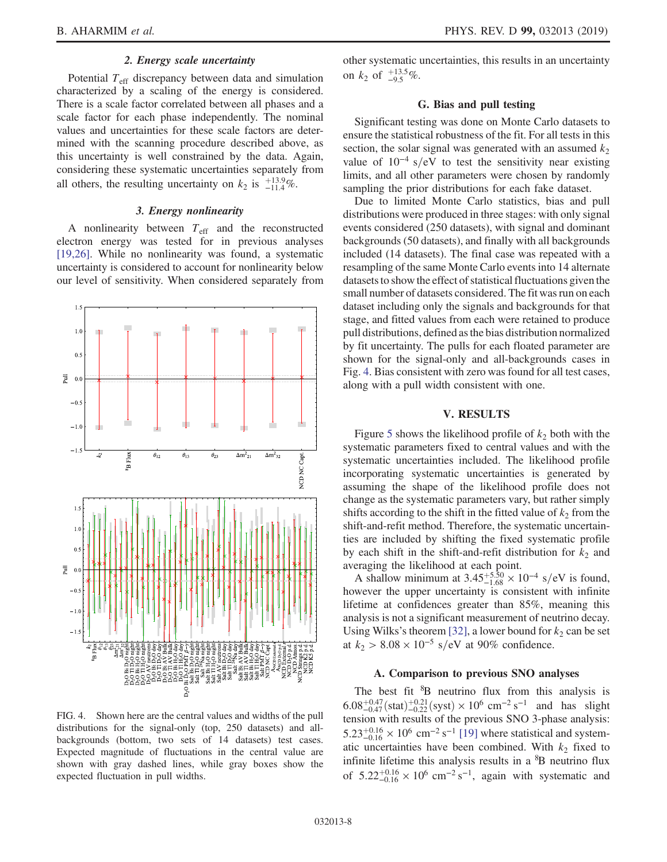## 2. Energy scale uncertainty

Potential  $T_{\text{eff}}$  discrepancy between data and simulation characterized by a scaling of the energy is considered. There is a scale factor correlated between all phases and a scale factor for each phase independently. The nominal values and uncertainties for these scale factors are determined with the scanning procedure described above, as this uncertainty is well constrained by the data. Again, considering these systematic uncertainties separately from all others, the resulting uncertainty on  $k_2$  is  $^{+13.9}_{-11.4}\%$ .

# 3. Energy nonlinearity

A nonlinearity between  $T_{\text{eff}}$  and the reconstructed electron energy was tested for in previous analyses [\[19,26\]](#page-10-9). While no nonlinearity was found, a systematic uncertainty is considered to account for nonlinearity below our level of sensitivity. When considered separately from

<span id="page-8-1"></span>

FIG. 4. Shown here are the central values and widths of the pull distributions for the signal-only (top, 250 datasets) and allbackgrounds (bottom, two sets of 14 datasets) test cases. Expected magnitude of fluctuations in the central value are shown with gray dashed lines, while gray boxes show the expected fluctuation in pull widths.

other systematic uncertainties, this results in an uncertainty on  $k_2$  of  $+13.5\%$ .

## G. Bias and pull testing

Significant testing was done on Monte Carlo datasets to ensure the statistical robustness of the fit. For all tests in this section, the solar signal was generated with an assumed  $k_2$ value of  $10^{-4}$  s/eV to test the sensitivity near existing limits, and all other parameters were chosen by randomly sampling the prior distributions for each fake dataset.

Due to limited Monte Carlo statistics, bias and pull distributions were produced in three stages: with only signal events considered (250 datasets), with signal and dominant backgrounds (50 datasets), and finally with all backgrounds included (14 datasets). The final case was repeated with a resampling of the same Monte Carlo events into 14 alternate datasets to show the effect of statistical fluctuations given the small number of datasets considered. The fit was run on each dataset including only the signals and backgrounds for that stage, and fitted values from each were retained to produce pull distributions, defined as the bias distribution normalized by fit uncertainty. The pulls for each floated parameter are shown for the signal-only and all-backgrounds cases in Fig. [4.](#page-8-1) Bias consistent with zero was found for all test cases, along with a pull width consistent with one.

### V. RESULTS

<span id="page-8-0"></span>Figure [5](#page-9-1) shows the likelihood profile of  $k_2$  both with the systematic parameters fixed to central values and with the systematic uncertainties included. The likelihood profile incorporating systematic uncertainties is generated by assuming the shape of the likelihood profile does not change as the systematic parameters vary, but rather simply shifts according to the shift in the fitted value of  $k_2$  from the shift-and-refit method. Therefore, the systematic uncertainties are included by shifting the fixed systematic profile by each shift in the shift-and-refit distribution for  $k_2$  and averaging the likelihood at each point.

A shallow minimum at  $3.45_{-1.68}^{+5.50} \times 10^{-4}$  s/eV is found, however the upper uncertainty is consistent with infinite lifetime at confidences greater than 85%, meaning this analysis is not a significant measurement of neutrino decay. Using Wilks's theorem [\[32\],](#page-10-22) a lower bound for  $k_2$  can be set at  $k_2 > 8.08 \times 10^{-5}$  s/eV at 90% confidence.

#### A. Comparison to previous SNO analyses

The best fit <sup>8</sup>B neutrino flux from this analysis is  $6.08^{+0.47}_{-0.47} \text{(stat)}^{+0.21}_{-0.22} \text{(syst)} \times 10^6 \text{ cm}^{-2} \text{ s}^{-1}$  and has slight tension with results of the previous SNO 3-phase analysis:  $5.23^{+0.16}_{-0.16} \times 10^6$  cm<sup>-2</sup> s<sup>-1</sup> [\[19\]](#page-10-9) where statistical and systematic uncertainties have been combined. With  $k_2$  fixed to infinite lifetime this analysis results in a  ${}^{8}B$  neutrino flux of  $5.22^{+0.16}_{-0.16} \times 10^6$  cm<sup>-2</sup> s<sup>-1</sup>, again with systematic and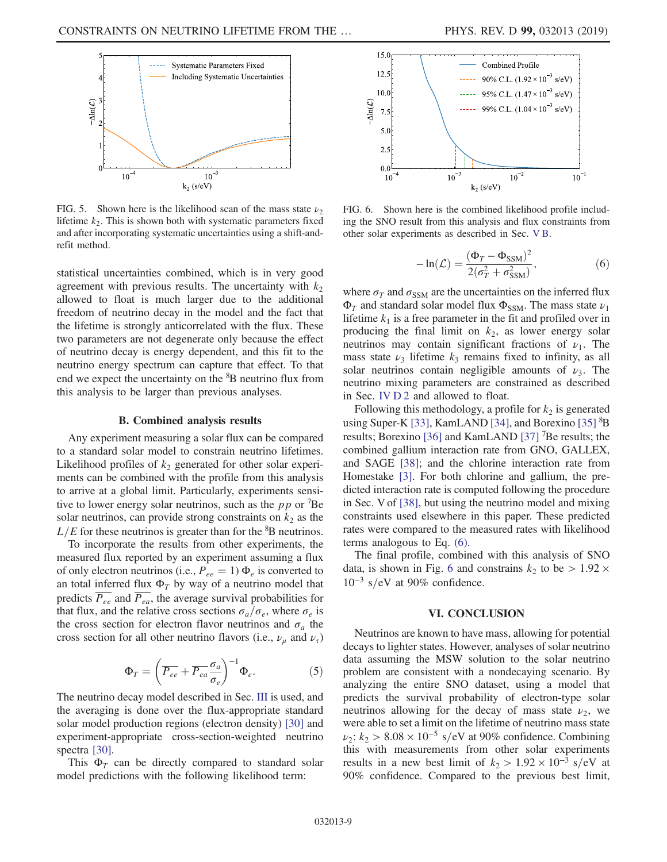<span id="page-9-1"></span>

FIG. 5. Shown here is the likelihood scan of the mass state  $\nu_2$ lifetime  $k_2$ . This is shown both with systematic parameters fixed and after incorporating systematic uncertainties using a shift-andrefit method.

statistical uncertainties combined, which is in very good agreement with previous results. The uncertainty with  $k_2$ allowed to float is much larger due to the additional freedom of neutrino decay in the model and the fact that the lifetime is strongly anticorrelated with the flux. These two parameters are not degenerate only because the effect of neutrino decay is energy dependent, and this fit to the neutrino energy spectrum can capture that effect. To that end we expect the uncertainty on the <sup>8</sup>B neutrino flux from this analysis to be larger than previous analyses.

#### B. Combined analysis results

<span id="page-9-4"></span>Any experiment measuring a solar flux can be compared to a standard solar model to constrain neutrino lifetimes. Likelihood profiles of  $k_2$  generated for other solar experiments can be combined with the profile from this analysis to arrive at a global limit. Particularly, experiments sensitive to lower energy solar neutrinos, such as the  $pp$  or  $^7$ Be solar neutrinos, can provide strong constraints on  $k_2$  as the  $L/E$  for these neutrinos is greater than for the  ${}^{8}B$  neutrinos.

To incorporate the results from other experiments, the measured flux reported by an experiment assuming a flux of only electron neutrinos (i.e.,  $P_{ee} = 1$ )  $\Phi_e$  is converted to an total inferred flux  $\Phi_T$  by way of a neutrino model that predicts  $\overline{P_{ee}}$  and  $\overline{P_{ea}}$ , the average survival probabilities for that flux, and the relative cross sections  $\sigma_a/\sigma_e$ , where  $\sigma_e$  is the cross section for electron flavor neutrinos and  $\sigma_a$  the cross section for all other neutrino flavors (i.e.,  $\nu_u$  and  $\nu_{\tau}$ )

$$
\Phi_T = \left(\overline{P_{ee}} + \overline{P_{ea}} \frac{\sigma_a}{\sigma_e}\right)^{-1} \Phi_e.
$$
 (5)

The neutrino decay model described in Sec. [III](#page-4-0) is used, and the averaging is done over the flux-appropriate standard solar model production regions (electron density) [\[30\]](#page-10-20) and experiment-appropriate cross-section-weighted neutrino spectra [\[30\]](#page-10-20).

<span id="page-9-2"></span>This  $\Phi_T$  can be directly compared to standard solar model predictions with the following likelihood term:

<span id="page-9-3"></span>

FIG. 6. Shown here is the combined likelihood profile including the SNO result from this analysis and flux constraints from other solar experiments as described in Sec. [V B.](#page-9-4)

$$
-\ln(\mathcal{L}) = \frac{(\Phi_T - \Phi_{\text{SSM}})^2}{2(\sigma_T^2 + \sigma_{\text{SSM}}^2)},\tag{6}
$$

where  $\sigma_T$  and  $\sigma_{SSM}$  are the uncertainties on the inferred flux  $\Phi_T$  and standard solar model flux  $\Phi_{SSM}$ . The mass state  $\nu_1$ lifetime  $k_1$  is a free parameter in the fit and profiled over in producing the final limit on  $k<sub>2</sub>$ , as lower energy solar neutrinos may contain significant fractions of  $\nu_1$ . The mass state  $\nu_3$  lifetime  $k_3$  remains fixed to infinity, as all solar neutrinos contain negligible amounts of  $\nu_3$ . The neutrino mixing parameters are constrained as described in Sec. [IV D 2](#page-6-1) and allowed to float.

Following this methodology, a profile for  $k_2$  is generated using Super-K [\[33\]](#page-10-23), KamLAND [\[34\],](#page-10-24) and Borexino [\[35\]](#page-10-25) <sup>8</sup>B results; Borexino [\[36\]](#page-10-26) and KamLAND [\[37\]](#page-10-27) <sup>7</sup>Be results; the combined gallium interaction rate from GNO, GALLEX, and SAGE [\[38\];](#page-10-28) and the chlorine interaction rate from Homestake [\[3\].](#page-10-2) For both chlorine and gallium, the predicted interaction rate is computed following the procedure in Sec. V of [\[38\]](#page-10-28), but using the neutrino model and mixing constraints used elsewhere in this paper. These predicted rates were compared to the measured rates with likelihood terms analogous to Eq. [\(6\)](#page-9-2).

The final profile, combined with this analysis of SNO data, is shown in Fig. [6](#page-9-3) and constrains  $k_2$  to be  $> 1.92 \times$  $10^{-3}$  s/eV at 90% confidence.

# VI. CONCLUSION

<span id="page-9-0"></span>Neutrinos are known to have mass, allowing for potential decays to lighter states. However, analyses of solar neutrino data assuming the MSW solution to the solar neutrino problem are consistent with a nondecaying scenario. By analyzing the entire SNO dataset, using a model that predicts the survival probability of electron-type solar neutrinos allowing for the decay of mass state  $\nu_2$ , we were able to set a limit on the lifetime of neutrino mass state  $\nu_2$ :  $k_2 > 8.08 \times 10^{-5}$  s/eV at 90% confidence. Combining this with measurements from other solar experiments results in a new best limit of  $k_2 > 1.92 \times 10^{-3}$  s/eV at 90% confidence. Compared to the previous best limit,